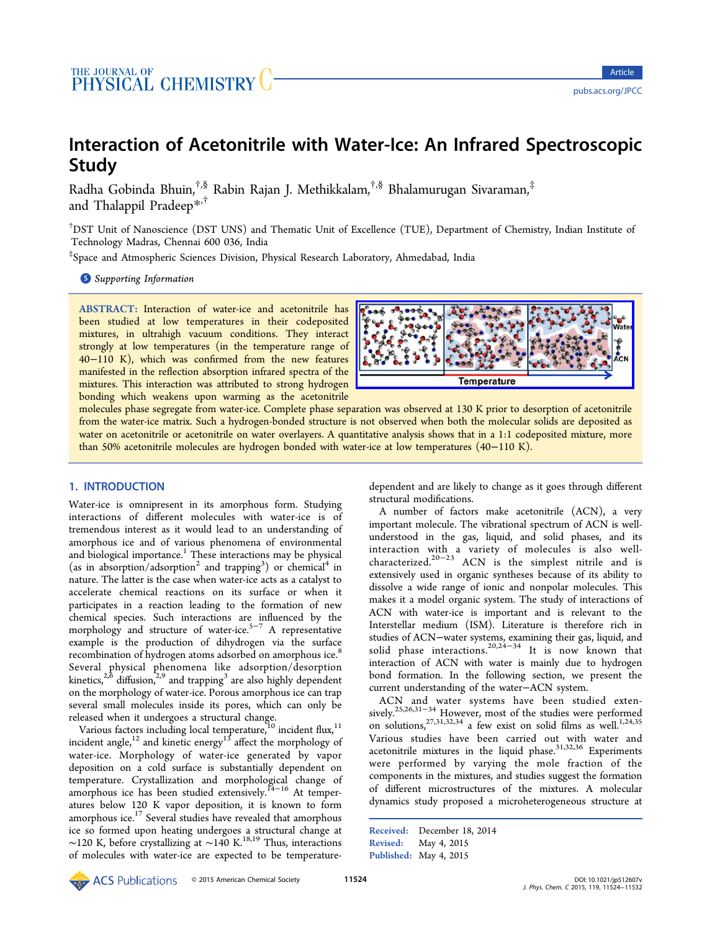# <span id="page-0-0"></span>Interaction of Acetonitrile with Water-Ice: An Infrared Spectroscopic Study

Radha Gobinda Bhuin,†,§ Rabin Rajan J. Methikkalam,†,§ Bhalamurugan Sivaraman,‡ and Thalappil Pradeep\*,†

† DST Unit of Nanoscience [\(D](#page-7-0)ST UNS) and Thematic Unit of Excellence (TUE), Department of Chemistry, Indian Institute of Technology Madras, Chennai 600 036, India

‡ Space and Atmospheric Sciences Division, Physical Research Laboratory, Ahmedabad, India

**S** Supporting Information

[AB](#page-7-0)STRACT: [Interaction o](#page-7-0)f water-ice and acetonitrile has been studied at low temperatures in their codeposited mixtures, in ultrahigh vacuum conditions. They interact strongly at low temperatures (in the temperature range of 40−110 K), which was confirmed from the new features manifested in the reflection absorption infrared spectra of the mixtures. This interaction was attributed to strong hydrogen bonding which weakens upon warming as the acetonitrile



molecules phase segregate from water-ice. Complete phase sepa[ration was observed at 130 K prior to desorption of acetonitrile](http://pubs.acs.org/action/showImage?doi=10.1021/jp512607v&iName=master.img-000.jpg&w=238&h=72) from the water-ice matrix. Such a hydrogen-bonded structure is not observed when both the molecular solids are deposited as water on acetonitrile or acetonitrile on water overlayers. A quantitative analysis shows that in a 1:1 codeposited mixture, more than 50% acetonitrile molecules are hydrogen bonded with water-ice at low temperatures (40−110 K).

# 1. INTRODUCTION

Water-ice is omnipresent in its amorphous form. Studying interactions of different molecules with water-ice is of tremendous interest as it would lead to an understanding of amorphous ice and of various phenomena of environmental and biological importance.<sup>1</sup> These interactions may be physical (as in absorption/adsorption<sup>2</sup> and trapping<sup>3</sup>) or chemical<sup>4</sup> in nature. The latter is the ca[se](#page-7-0) when water-ice acts as a catalyst to accelerate chemical reactio[n](#page-7-0)s on its su[rf](#page-7-0)ace or whe[n](#page-7-0) it participates in a reaction leading to the formation of new chemical species. Such interactions are influenced by the morphology and structure of water-ice.<sup>5−7</sup> A representative example is the production of dihydrogen via the surface recombination of hydrogen atoms adsorb[ed o](#page-7-0)n amorphous ice.<sup>8</sup> Several physical phenomena like adsorption/desorption kinetics, $2,5$  diffusion, $2,9$  and trapping<sup>3</sup> are also highly depende[nt](#page-7-0) on the morphology of water-ice. Porous amorphous ice can trap several [sm](#page-7-0)all mole[cule](#page-7-0)s inside its [p](#page-7-0)ores, which can only be released when it undergoes a structural change.

Various factors including local temperature, $10$  incident flux, $11$ incident angle,<sup>12</sup> and kinetic energy<sup>13</sup> affect the morphology of water-ice. Morphology of water-ice gen[era](#page-7-0)ted by vap[or](#page-7-0) deposition on [a](#page-7-0) cold surface is [sub](#page-7-0)stantially dependent on temperature. Crystallization and morphological change of amorphous ice has been studied extensively.<sup>14−16</sup> At temperatures below 120 K vapor deposition, it is known to form amorphous ice.<sup>17</sup> Several studies have reveale[d that](#page-8-0) amorphous ice so formed upon heating undergoes a structural change at ∼120 K, befor[e c](#page-8-0)rystallizing at ∼140 K.18,19 Thus, interactions of molecules with water-ice are expected to be temperaturedependent and are likely to change as it goes through different structural modifications.

A number of factors make acetonitrile (ACN), a very important molecule. The vibrational spectrum of ACN is wellunderstood in the gas, liquid, and solid phases, and its interaction with a variety of molecules is also wellcharacterized.20−<sup>23</sup> ACN is the simplest nitrile and is extensively used in organic syntheses because of its ability to dissolve a wi[de](#page-8-0) r[an](#page-8-0)ge of ionic and nonpolar molecules. This makes it a model organic system. The study of interactions of ACN with water-ice is important and is relevant to the Interstellar medium (ISM). Literature is therefore rich in studies of ACN−water systems, examining their gas, liquid, and solid phase interactions.<sup>20,24–34</sup> It is now known that interaction of ACN with water is mainly due to hydrogen bond formation. In the [following](#page-8-0) section, we present the current understanding of the water−ACN system.

ACN and water systems have been studied extensively.<sup>25,26,31−34</sup> However, most of the studies were performed on solutions,  $27,31,32,34$  a few exist on solid films as well.<sup>1,24,35</sup> Vario[us studie](#page-8-0)s have been carried out with water and acetonitrile [mixtures](#page-8-0) in the liquid phase. $31,32,36$  Experi[m](#page-7-0)[ents](#page-8-0) were performed by varying the mole fraction of the components in the mixtures, and studies s[uggest](#page-8-0) the formation of different microstructures of the mixtures. A molecular dynamics study proposed a microheterogeneous structure at

Received: December 18, 2014 Revised: May 4, 2015 Published: May 4, 2015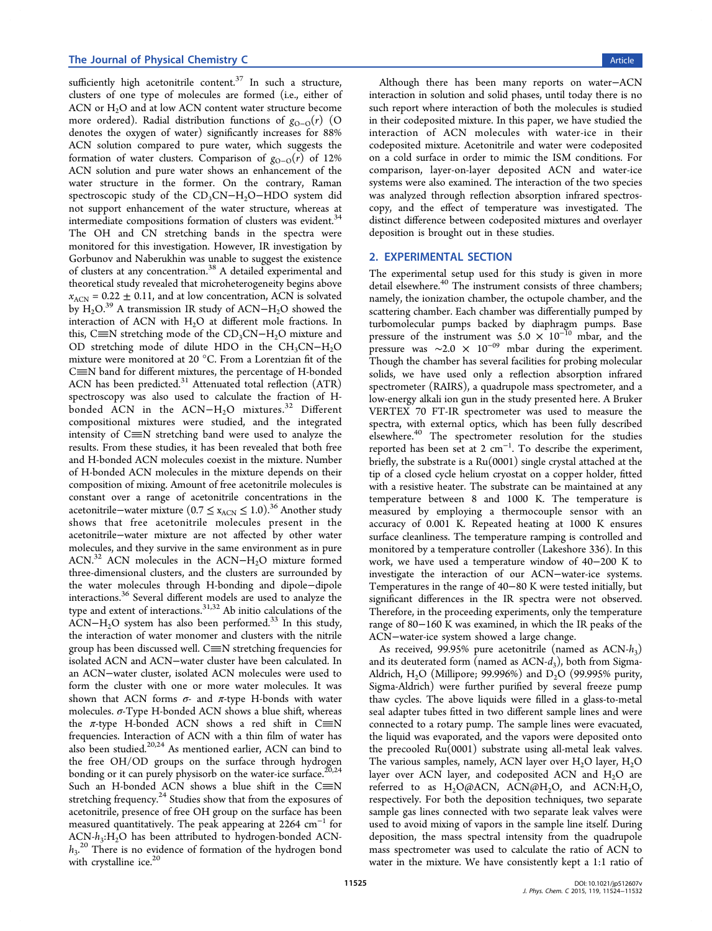sufficiently high acetonitrile content. $37$  In such a structure, clusters of one type of molecules are formed (i.e., either of ACN or  $H_2O$  and at low ACN conten[t w](#page-8-0)ater structure become more ordered). Radial distribution functions of  $g_{O-O}(r)$  (O denotes the oxygen of water) significantly increases for 88% ACN solution compared to pure water, which suggests the formation of water clusters. Comparison of  $g_{O-O}(r)$  of 12% ACN solution and pure water shows an enhancement of the water structure in the former. On the contrary, Raman spectroscopic study of the CD<sub>3</sub>CN−H<sub>2</sub>O−HDO system did not support enhancement of the water structure, whereas at intermediate compositions formation of clusters was evident.<sup>34</sup> The OH and CN stretching bands in the spectra were monitored for this investigation. However, IR investigation [by](#page-8-0) Gorbunov and Naberukhin was unable to suggest the existence of clusters at any concentration.<sup>38</sup> A detailed experimental and theoretical study revealed that microheterogeneity begins above  $x_{\text{ACN}} = 0.22 \pm 0.11$ , and at low [co](#page-8-0)ncentration, ACN is solvated by H<sub>2</sub>O.<sup>39</sup> A transmission IR study of ACN−H<sub>2</sub>O showed the interaction of ACN with  $H<sub>2</sub>O$  at different mole fractions. In this, C $\equiv$ [N](#page-8-0) stretching mode of the CD<sub>3</sub>CN−H<sub>2</sub>O mixture and OD stretching mode of dilute HDO in the  $CH_3CN-H_2O$ mixture were monitored at 20 °C. From a Lorentzian fit of the  $C\equiv N$  band for different mixtures, the percentage of H-bonded ACN has been predicted.<sup>31</sup> Attenuated total reflection (ATR) spectroscopy was also used to calculate the fraction of H-bonded [A](#page-8-0)CN in the  $ACN-H<sub>2</sub>O$  mixtures.<sup>32</sup> Different compositional mixtures were studied, and the integrated intensity of  $C\equiv N$  stretching band were used t[o a](#page-8-0)nalyze the results. From these studies, it has been revealed that both free and H-bonded ACN molecules coexist in the mixture. Number of H-bonded ACN molecules in the mixture depends on their composition of mixing. Amount of free acetonitrile molecules is constant over a range of acetonitrile concentrations in the acetonitrile−water mixture (0.7 ≤  $x_{\text{ACN}}$  ≤ 1.0).<sup>36</sup> Another study shows that free acetonitrile molecules present in the acetonitrile−water mixture are not affected [b](#page-8-0)y other water molecules, and they survive in the same environment as in pure ACN.<sup>32</sup> ACN molecules in the ACN–H<sub>2</sub>O mixture formed three-dimensional clusters, and the clusters are surrounded by the [wat](#page-8-0)er molecules through H-bonding and dipole−dipole interactions.<sup>36</sup> Several different models are used to analyze the type and extent of interactions.31,32 Ab initio calculations of the ACN−H<sub>2</sub>O [sy](#page-8-0)stem has also been performed.<sup>33</sup> In this study, the interaction of water mono[mer](#page-8-0) and clusters with the nitrile group has been discussed well.  $C \equiv N$  stretchi[ng f](#page-8-0)requencies for isolated ACN and ACN−water cluster have been calculated. In an ACN−water cluster, isolated ACN molecules were used to form the cluster with one or more water molecules. It was shown that ACN forms  $\sigma$ - and  $\pi$ -type H-bonds with water molecules.  $\sigma$ -Type H-bonded ACN shows a blue shift, whereas the  $\pi$ -type H-bonded ACN shows a red shift in C $\equiv$ N frequencies. Interaction of ACN with a thin film of water has also been studied. $20,24$  As mentioned earlier, ACN can bind to the free OH/OD groups on the surface through hydrogen bonding or it can [pure](#page-8-0)ly physisorb on the water-ice surface.<sup>20,24</sup> Such an H-bonded ACN shows a blue shift in the  $C\equiv N$ stretching frequency.<sup>24</sup> Studies show that from the exposur[es of](#page-8-0) acetonitrile, presence of free OH group on the surface has been measured quantitati[vel](#page-8-0)y. The peak appearing at 2264 cm<sup>−</sup><sup>1</sup> for  $ACN-h_3:H_2O$  has been attributed to hydrogen-bonded  $ACN$  $h_3$ <sup>20</sup> There is no evidence of formation of the hydrogen bond with crystalline ice.<sup>20</sup>

Although there has been many reports on water−ACN interaction in solution and solid phases, until today there is no such report where interaction of both the molecules is studied in their codeposited mixture. In this paper, we have studied the interaction of ACN molecules with water-ice in their codeposited mixture. Acetonitrile and water were codeposited on a cold surface in order to mimic the ISM conditions. For comparison, layer-on-layer deposited ACN and water-ice systems were also examined. The interaction of the two species was analyzed through reflection absorption infrared spectroscopy, and the effect of temperature was investigated. The distinct difference between codeposited mixtures and overlayer deposition is brought out in these studies.

## 2. EXPERIMENTAL SECTION

The experimental setup used for this study is given in more detail elsewhere.<sup>40</sup> The instrument consists of three chambers; namely, the ionization chamber, the octupole chamber, and the scattering cham[ber](#page-8-0). Each chamber was differentially pumped by turbomolecular pumps backed by diaphragm pumps. Base pressure of the instrument was  $5.0 \times 10^{-10}$  mbar, and the pressure was  $\sim$ 2.0 × 10<sup>-09</sup> mbar during the experiment. Though the chamber has several facilities for probing molecular solids, we have used only a reflection absorption infrared spectrometer (RAIRS), a quadrupole mass spectrometer, and a low-energy alkali ion gun in the study presented here. A Bruker VERTEX 70 FT-IR spectrometer was used to measure the spectra, with external optics, which has been fully described elsewhere.<sup>40</sup> The spectrometer resolution for the studies reported has been set at 2 cm<sup>-1</sup>. To describe the experiment, briefly, th[e su](#page-8-0)bstrate is a Ru(0001) single crystal attached at the tip of a closed cycle helium cryostat on a copper holder, fitted with a resistive heater. The substrate can be maintained at any temperature between 8 and 1000 K. The temperature is measured by employing a thermocouple sensor with an accuracy of 0.001 K. Repeated heating at 1000 K ensures surface cleanliness. The temperature ramping is controlled and monitored by a temperature controller (Lakeshore 336). In this work, we have used a temperature window of 40−200 K to investigate the interaction of our ACN−water-ice systems. Temperatures in the range of 40−80 K were tested initially, but significant differences in the IR spectra were not observed. Therefore, in the proceeding experiments, only the temperature range of 80−160 K was examined, in which the IR peaks of the ACN−water-ice system showed a large change.

As received, 99.95% pure acetonitrile (named as  $ACN-h_3$ ) and its deuterated form (named as  $ACN-d_3$ ), both from Sigma-Aldrich, H<sub>2</sub>O (Millipore; 99.996%) and  $D_2O$  (99.995% purity, Sigma-Aldrich) were further purified by several freeze pump thaw cycles. The above liquids were filled in a glass-to-metal seal adapter tubes fitted in two different sample lines and were connected to a rotary pump. The sample lines were evacuated, the liquid was evaporated, and the vapors were deposited onto the precooled Ru(0001) substrate using all-metal leak valves. The various samples, namely, ACN layer over  $H_2O$  layer,  $H_2O$ layer over ACN layer, and codeposited ACN and  $H_2O$  are referred to as  $H_2O(\emptyset$ ACN, ACN $(\emptyset H_2O, \text{ and }$  ACN: $H_2O,$ respectively. For both the deposition techniques, two separate sample gas lines connected with two separate leak valves were used to avoid mixing of vapors in the sample line itself. During deposition, the mass spectral intensity from the quadrupole mass spectrometer was used to calculate the ratio of ACN to water in the mixture. We have consistently kept a 1:1 ratio of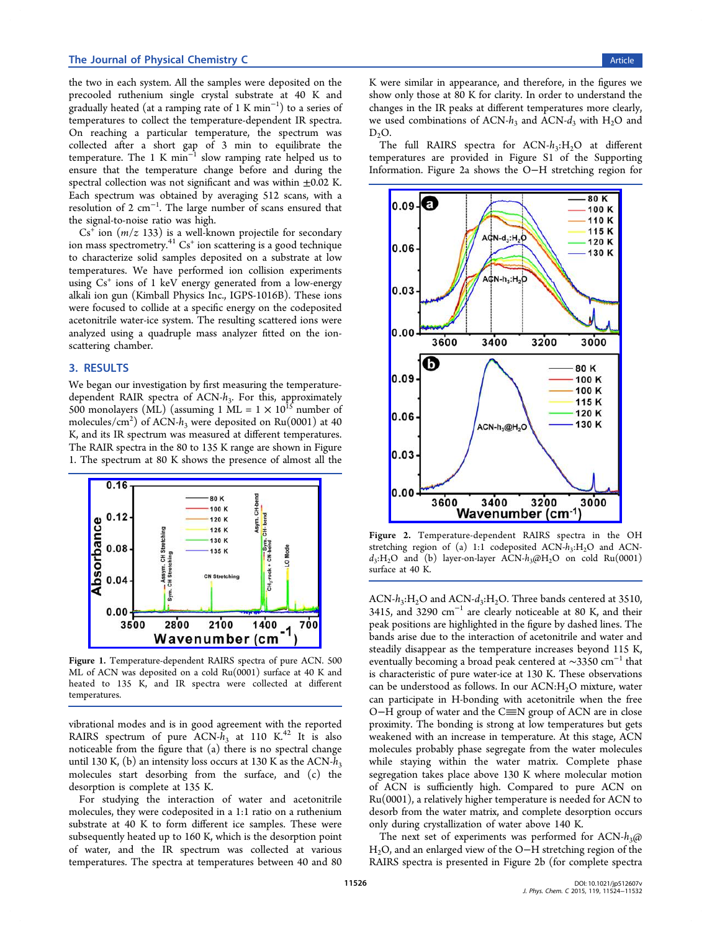<span id="page-2-0"></span>the two in each system. All the samples were deposited on the precooled ruthenium single crystal substrate at 40 K and gradually heated (at a ramping rate of 1 K min<sup>−</sup><sup>1</sup> ) to a series of temperatures to collect the temperature-dependent IR spectra. On reaching a particular temperature, the spectrum was collected after a short gap of 3 min to equilibrate the temperature. The 1 K min<sup>-1</sup> slow ramping rate helped us to ensure that the temperature change before and during the spectral collection was not significant and was within  $\pm 0.02$  K. Each spectrum was obtained by averaging 512 scans, with a resolution of 2 cm<sup>-1</sup>. The large number of scans ensured that the signal-to-noise ratio was high.

 $Cs<sup>+</sup>$  ion  $(m/z 133)$  is a well-known projectile for secondary ion mass spectrometry. $41 \text{ Cs}^+$  ion scattering is a good technique to characterize solid samples deposited on a substrate at low temperatures. We hav[e](#page-8-0) performed ion collision experiments using  $Cs<sup>+</sup>$  ions of 1 keV energy generated from a low-energy alkali ion gun (Kimball Physics Inc., IGPS-1016B). These ions were focused to collide at a specific energy on the codeposited acetonitrile water-ice system. The resulting scattered ions were analyzed using a quadruple mass analyzer fitted on the ionscattering chamber.

## 3. RESULTS

We began our investigation by first measuring the temperaturedependent RAIR spectra of  $ACN-h_3$ . For this, approximately 500 monolayers (ML) (assuming 1 ML =  $1 \times 10^{15}$  number of molecules/cm<sup>2</sup>) of ACN- $h_3$  were deposited on Ru(0001) at 40 K, and its IR spectrum was measured at different temperatures. The RAIR spectra in the 80 to 135 K range are shown in Figure 1. The spectrum at 80 K shows the presence of almost all the



Figure 1. [Temperature-dependent RAIRS spectra of pure ACN](http://pubs.acs.org/action/showImage?doi=10.1021/jp512607v&iName=master.img-001.jpg&w=199&h=144). 500 ML of ACN was deposited on a cold Ru(0001) surface at 40 K and heated to 135 K, and IR spectra were collected at different temperatures.

vibrational modes and is in good agreement with the reported RAIRS spectrum of pure ACN- $h_3$  at 110 K.<sup>42</sup> It is also noticeable from the figure that (a) there is no spectral change until 130 K, (b) an intensity loss occurs at 130 K [as t](#page-8-0)he ACN- $h<sub>3</sub>$ molecules start desorbing from the surface, and (c) the desorption is complete at 135 K.

For studying the interaction of water and acetonitrile molecules, they were codeposited in a 1:1 ratio on a ruthenium substrate at 40 K to form different ice samples. These were subsequently heated up to 160 K, which is the desorption point of water, and the IR spectrum was collected at various temperatures. The spectra at temperatures between 40 and 80 K were similar in appearance, and therefore, in the figures we show only those at 80 K for clarity. In order to understand the changes in the IR peaks at different temperatures more clearly, we used combinations of ACN- $h_3$  and ACN- $d_3$  with H<sub>2</sub>O and  $D_2O.$ 

The full RAIRS spectra for  $ACN-h_3:H_2O$  at different temperatures are provided in Figure S1 of the Supporting Information. Figure 2a shows the O−H stretching region for



Figure 2. [Temperature-dependent RAIRS spectra in the](http://pubs.acs.org/action/showImage?doi=10.1021/jp512607v&iName=master.img-002.jpg&w=198&h=288) OH stretching region of (a) 1:1 codeposited  $ACN-h_3:H_2O$  and  $ACN$  $d_3$ :H<sub>2</sub>O and (b) layer-on-layer ACN- $h_3$ @H<sub>2</sub>O on cold Ru(0001) surface at 40 K.

ACN- $h_3$ :H<sub>2</sub>O and ACN- $d_3$ :H<sub>2</sub>O. Three bands centered at 3510, 3415, and 3290  $cm^{-1}$  are clearly noticeable at 80 K, and their peak positions are highlighted in the figure by dashed lines. The bands arise due to the interaction of acetonitrile and water and steadily disappear as the temperature increases beyond 115 K, eventually becoming a broad peak centered at  $\sim$ 3350 cm<sup>-1</sup> that is characteristic of pure water-ice at 130 K. These observations can be understood as follows. In our  $ACN:H<sub>2</sub>O$  mixture, water can participate in H-bonding with acetonitrile when the free O−H group of water and the C≡N group of ACN are in close proximity. The bonding is strong at low temperatures but gets weakened with an increase in temperature. At this stage, ACN molecules probably phase segregate from the water molecules while staying within the water matrix. Complete phase segregation takes place above 130 K where molecular motion of ACN is sufficiently high. Compared to pure ACN on Ru(0001), a relatively higher temperature is needed for ACN to desorb from the water matrix, and complete desorption occurs only during crystallization of water above 140 K.

The next set of experiments was performed for ACN- $h_3$ @ H<sub>2</sub>O, and an enlarged view of the O−H stretching region of the RAIRS spectra is presented in Figure 2b (for complete spectra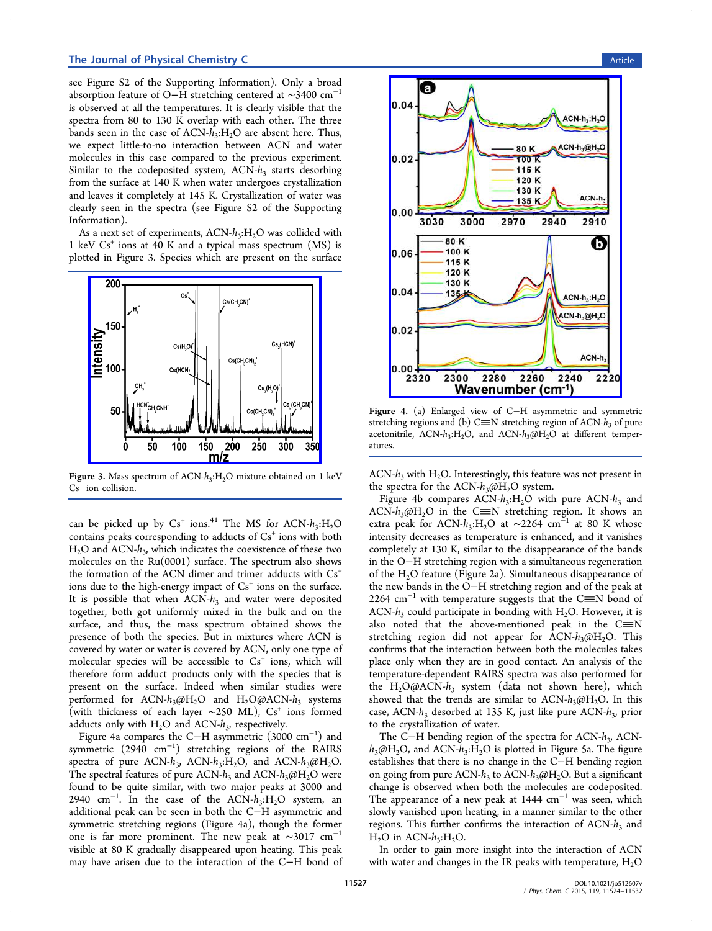<span id="page-3-0"></span>see Figure S2 of the Supporting Information). Only a broad absorption feature of O−H stretching centered at ∼3400 cm<sup>−</sup><sup>1</sup> is observed at all the [temperatures. It is clearly](#page-7-0) visible that the spectra from 80 to 130 K overlap with each other. The three bands seen in the case of  $ACN-h_3:H_2O$  are absent here. Thus, we expect little-to-no interaction between ACN and water molecules in this case compared to the previous experiment. Similar to the codeposited system,  $ACN-h_3$  starts desorbing from the surface at 140 K when water undergoes crystallization and leaves it completely at 145 K. Crystallization of water was clearly seen in the spectra (see Figure S2 of the Supporting Information).

As a next set of experiments,  $ACN-h_3:H_2O$  was c[ollided with](#page-7-0) 1 keV  $Cs^+$  ions at 40 K and a typical mass spectrum  $(MS)$  is plotted in Figure 3. Species which are present on the surface



Figure 3. Mass spectrum of  $ACN-h_3:H_2O$  mixture obtained on 1 keV  $Cs<sup>+</sup>$  ion collision.

can be picked up by  $Cs^+$  ions.<sup>41</sup> The MS for ACN- $h_3$ :H<sub>2</sub>O contains peaks corresponding to adducts of  $Cs<sup>+</sup>$  ions with both  $H<sub>2</sub>O$  and ACN- $h<sub>3</sub>$ , which indicat[es](#page-8-0) the coexistence of these two molecules on the Ru(0001) surface. The spectrum also shows the formation of the ACN dimer and trimer adducts with  $Cs<sup>+</sup>$ ions due to the high-energy impact of  $Cs<sup>+</sup>$  ions on the surface. It is possible that when  $ACN-h_3$  and water were deposited together, both got uniformly mixed in the bulk and on the surface, and thus, the mass spectrum obtained shows the presence of both the species. But in mixtures where ACN is covered by water or water is covered by ACN, only one type of molecular species will be accessible to  $Cs<sup>+</sup>$  ions, which will therefore form adduct products only with the species that is present on the surface. Indeed when similar studies were performed for ACN- $h_3$ @H<sub>2</sub>O and H<sub>2</sub>O@ACN- $h_3$  systems (with thickness of each layer ~250 ML), Cs<sup>+</sup> ions formed adducts only with  $H_2O$  and ACN- $h_3$ , respectively.

Figure 4a compares the C−H asymmetric (3000 cm<sup>−</sup><sup>1</sup> ) and symmetric (2940 cm<sup>−</sup><sup>1</sup> ) stretching regions of the RAIRS spectra of pure ACN- $h_3$ , ACN- $h_3$ :H<sub>2</sub>O, and ACN- $h_3$ @H<sub>2</sub>O. The spectral features of pure ACN- $h_3$  and ACN- $h_3$ @H<sub>2</sub>O were found to be quite similar, with two major peaks at 3000 and 2940 cm<sup>-1</sup>. In the case of the ACN- $h_3$ :H<sub>2</sub>O system, an additional peak can be seen in both the C−H asymmetric and symmetric stretching regions (Figure 4a), though the former one is far more prominent. The new peak at  $\sim$ 3017 cm<sup>-1</sup> visible at 80 K gradually disappeared upon heating. This peak may have arisen due to the interaction of the C−H bond of



Figure 4. [\(a\) Enlarged view of C](http://pubs.acs.org/action/showImage?doi=10.1021/jp512607v&iName=master.img-004.jpg&w=198&h=278)−H asymmetric and symmetric stretching regions and (b) C $\equiv$ N stretching region of ACN- $h_3$  of pure acetonitrile, ACN- $h_3$ :H<sub>2</sub>O, and ACN- $h_3$ @H<sub>2</sub>O at different temperatures.

ACN- $h_3$  with H<sub>2</sub>O. Interestingly, this feature was not present in the spectra for the ACN- $h_3$ @H<sub>2</sub>O system.

Figure 4b compares  $ACN-h_3:H_2O$  with pure  $ACN-h_3$  and ACN- $h_3$ @H<sub>2</sub>O in the C $\equiv$ N stretching region. It shows an extra peak for ACN- $h_3$ :H<sub>2</sub>O at ~2264 cm<sup>-1</sup> at 80 K whose intensity decreases as temperature is enhanced, and it vanishes completely at 130 K, similar to the disappearance of the bands in the O−H stretching region with a simultaneous regeneration of the  $H_2O$  feature (Figure 2a). Simultaneous disappearance of the new bands in the O−H stretching region and of the peak at 2264  $\text{cm}^{-1}$  with temperatu[re](#page-2-0) suggests that the C $\equiv$ N bond of ACN- $h_3$  could participate in bonding with H<sub>2</sub>O. However, it is also noted that the above-mentioned peak in the  $C\equiv N$ stretching region did not appear for ACN- $h_3$ @H<sub>2</sub>O. This confirms that the interaction between both the molecules takes place only when they are in good contact. An analysis of the temperature-dependent RAIRS spectra was also performed for the  $H_2O(\omega ACN-h_3)$  system (data not shown here), which showed that the trends are similar to  $ACN-h_3(\partial H_2O)$ . In this case, ACN- $h_3$  desorbed at 135 K, just like pure ACN- $h_3$ , prior to the crystallization of water.

The C−H bending region of the spectra for ACN-h<sub>3</sub>, ACN $h_3$ @H<sub>2</sub>O, and ACN- $h_3$ :H<sub>2</sub>O is plotted in Figure 5a. The figure establishes that there is no change in the C−H bending region on going from pure ACN- $h_3$  to ACN- $h_3$ @H<sub>2</sub>O. B[ut](#page-4-0) a significant change is observed when both the molecules are codeposited. The appearance of a new peak at 1444 cm<sup>-1</sup> was seen, which slowly vanished upon heating, in a manner similar to the other regions. This further confirms the interaction of  $ACN-h<sub>3</sub>$  and  $H<sub>2</sub>O$  in ACN- $h<sub>3</sub>:H<sub>2</sub>O$ .

In order to gain more insight into the interaction of ACN with water and changes in the IR peaks with temperature,  $H_2O$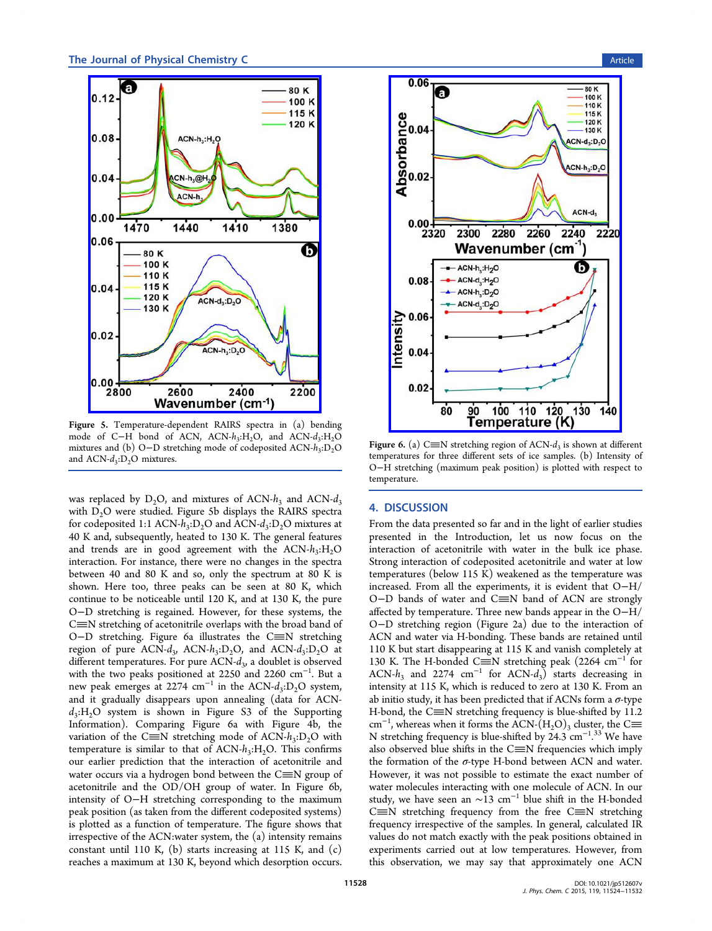<span id="page-4-0"></span>

Figure 5. [Temperature-dependent RAIRS spectra in \(a\) be](http://pubs.acs.org/action/showImage?doi=10.1021/jp512607v&iName=master.img-005.jpg&w=199&h=291)nding mode of C−H bond of ACN, ACN-h<sub>3</sub>:H<sub>2</sub>O, and ACN-d<sub>3</sub>:H<sub>2</sub>O mixtures and (b) O-D stretching mode of codeposited ACN-h<sub>3</sub>:D<sub>2</sub>O and  $ACN-d_3:D_2O$  mixtures.

was replaced by  $D_2O$ , and mixtures of ACN- $h_3$  and ACN- $d_3$ with D<sub>2</sub>O were studied. Figure 5b displays the RAIRS spectra for codeposited 1:1 ACN- $h_3$ :D<sub>2</sub>O and ACN- $d_3$ :D<sub>2</sub>O mixtures at 40 K and, subsequently, heated to 130 K. The general features and trends are in good agreement with the  $ACN-h_3:H_2O$ interaction. For instance, there were no changes in the spectra between 40 and 80 K and so, only the spectrum at 80 K is shown. Here too, three peaks can be seen at 80 K, which continue to be noticeable until 120 K, and at 130 K, the pure O−D stretching is regained. However, for these systems, the  $C\equiv N$  stretching of acetonitrile overlaps with the broad band of O-D stretching. Figure 6a illustrates the C≡N stretching region of pure ACN- $d_3$ , ACN- $h_3$ :D<sub>2</sub>O, and ACN- $d_3$ :D<sub>2</sub>O at different temperatures. For pure  $ACN-d_3$ , a doublet is observed with the two peaks positioned at 2250 and 2260 cm<sup>-1</sup>. But a new peak emerges at 2274 cm<sup>-1</sup> in the ACN- $d_3$ :D<sub>2</sub>O system, and it gradually disappears upon annealing (data for ACN $d_3$ :H<sub>2</sub>O system is shown in Figure S3 of the Supporting Information). Comparing Figure 6a with Figure 4b, the variation of the C $\equiv$ N stretching mode of ACN- $h_3$ :D<sub>2</sub>O with [temperature](#page-7-0) is similar to that of  $ACN-h_3:H_2O$ . This [co](#page-3-0)nfirms our earlier prediction that the interaction of acetonitrile and water occurs via a hydrogen bond between the  $C\equiv N$  group of acetonitrile and the OD/OH group of water. In Figure 6b, intensity of O−H stretching corresponding to the maximum peak position (as taken from the different codeposited systems) is plotted as a function of temperature. The figure shows that irrespective of the ACN:water system, the (a) intensity remains constant until 110 K,  $(b)$  starts increasing at 115 K, and  $(c)$ reaches a maximum at 130 K, beyond which desorption occurs.



Figure 6. (a) C $\equiv$ N stretching region of ACN- $d_3$  is shown at different temperatures for three diff[erent sets of ice samples. \(b\) Intens](http://pubs.acs.org/action/showImage?doi=10.1021/jp512607v&iName=master.img-006.jpg&w=198&h=308)ity of O−H stretching (maximum peak position) is plotted with respect to temperature.

## 4. DISCUSSION

From the data presented so far and in the light of earlier studies presented in the Introduction, let us now focus on the interaction of acetonitrile with water in the bulk ice phase. Strong interaction [of codeposited](#page-0-0) acetonitrile and water at low temperatures (below 115 K) weakened as the temperature was increased. From all the experiments, it is evident that O−H/ O-D bands of water and C≡N band of ACN are strongly affected by temperature. Three new bands appear in the O−H/ O−D stretching region (Figure 2a) due to the interaction of ACN and water via H-bonding. These bands are retained until 110 K but start disappearing at 1[15](#page-2-0) K and vanish completely at 130 K. The H-bonded C≡N stretching peak (2264 cm<sup>-1</sup> for ACN- $h_3$  and 2274 cm<sup>-1</sup> for ACN- $d_3$ ) starts decreasing in intensity at 115 K, which is reduced to zero at 130 K. From an ab initio study, it has been predicted that if ACNs form a  $\sigma$ -type H-bond, the C $\equiv$ N stretching frequency is blue-shifted by 11.2 cm<sup>-1</sup>, whereas when it forms the ACN-(H<sub>2</sub>O)<sub>3</sub> cluster, the C $\equiv$ N stretching frequency is blue-shifted by 24.3 cm<sup>-1.33</sup> We have . also observed blue shifts in the  $C\equiv N$  frequencies which imply the formation of the  $\sigma$ -type H-bond between ACN [an](#page-8-0)d water. However, it was not possible to estimate the exact number of water molecules interacting with one molecule of ACN. In our study, we have seen an  $\sim$ 13 cm<sup>-1</sup> blue shift in the H-bonded  $C\equiv N$  stretching frequency from the free  $C\equiv N$  stretching frequency irrespective of the samples. In general, calculated IR values do not match exactly with the peak positions obtained in experiments carried out at low temperatures. However, from this observation, we may say that approximately one ACN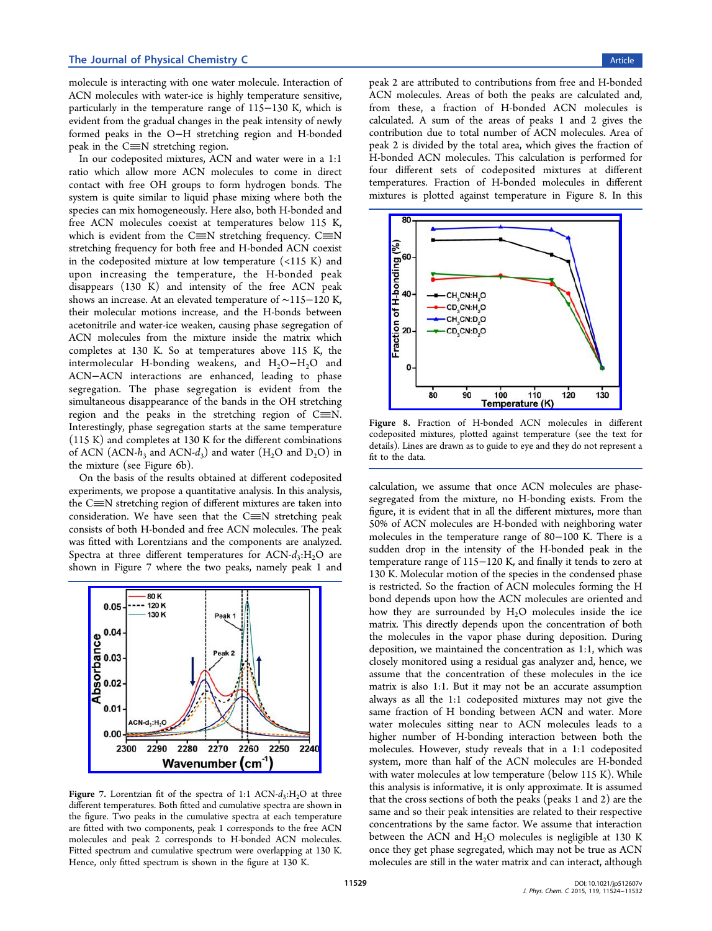<span id="page-5-0"></span>molecule is interacting with one water molecule. Interaction of ACN molecules with water-ice is highly temperature sensitive, particularly in the temperature range of 115−130 K, which is evident from the gradual changes in the peak intensity of newly formed peaks in the O−H stretching region and H-bonded peak in the  $C \equiv N$  stretching region.

In our codeposited mixtures, ACN and water were in a 1:1 ratio which allow more ACN molecules to come in direct contact with free OH groups to form hydrogen bonds. The system is quite similar to liquid phase mixing where both the species can mix homogeneously. Here also, both H-bonded and free ACN molecules coexist at temperatures below 115 K, which is evident from the C $\equiv$ N stretching frequency. C $\equiv$ N stretching frequency for both free and H-bonded ACN coexist in the codeposited mixture at low temperature  $($  < 115 K) and upon increasing the temperature, the H-bonded peak disappears (130 K) and intensity of the free ACN peak shows an increase. At an elevated temperature of ∼115−120 K, their molecular motions increase, and the H-bonds between acetonitrile and water-ice weaken, causing phase segregation of ACN molecules from the mixture inside the matrix which completes at 130 K. So at temperatures above 115 K, the intermolecular H-bonding weakens, and  $H_2O-H_2O$  and ACN−ACN interactions are enhanced, leading to phase segregation. The phase segregation is evident from the simultaneous disappearance of the bands in the OH stretching region and the peaks in the stretching region of  $C \equiv N$ . Interestingly, phase segregation starts at the same temperature (115 K) and completes at 130 K for the different combinations of ACN (ACN- $h_3$  and ACN- $d_3$ ) and water (H<sub>2</sub>O and D<sub>2</sub>O) in the mixture (see Figure 6b).

On the basis of the results obtained at different codeposited experiments, we propose [a](#page-4-0) quantitative analysis. In this analysis, the  $C\equiv N$  stretching region of different mixtures are taken into consideration. We have seen that the  $C \equiv N$  stretching peak consists of both H-bonded and free ACN molecules. The peak was fitted with Lorentzians and the components are analyzed. Spectra at three different temperatures for  $ACN-d_3:H_2O$  are shown in Figure 7 where the two peaks, namely peak 1 and



Figure 7. Lorentzian fi[t of the spectra of 1:1 ACN-](http://pubs.acs.org/action/showImage?doi=10.1021/jp512607v&iName=master.img-007.jpg&w=199&h=159) $d_3$ :H<sub>2</sub>O at three different temperatures. Both fitted and cumulative spectra are shown in the figure. Two peaks in the cumulative spectra at each temperature are fitted with two components, peak 1 corresponds to the free ACN molecules and peak 2 corresponds to H-bonded ACN molecules. Fitted spectrum and cumulative spectrum were overlapping at 130 K. Hence, only fitted spectrum is shown in the figure at 130 K.

peak 2 are attributed to contributions from free and H-bonded ACN molecules. Areas of both the peaks are calculated and, from these, a fraction of H-bonded ACN molecules is calculated. A sum of the areas of peaks 1 and 2 gives the contribution due to total number of ACN molecules. Area of peak 2 is divided by the total area, which gives the fraction of H-bonded ACN molecules. This calculation is performed for four different sets of codeposited mixtures at different temperatures. Fraction of H-bonded molecules in different mixtures is plotted against temperature in Figure 8. In this



Figure 8. [Fraction of H-bonded ACN molecules in di](http://pubs.acs.org/action/showImage?doi=10.1021/jp512607v&iName=master.img-008.jpg&w=198&h=167)fferent codeposited mixtures, plotted against temperature (see the text for details). Lines are drawn as to guide to eye and they do not represent a fit to the data.

calculation, we assume that once ACN molecules are phasesegregated from the mixture, no H-bonding exists. From the figure, it is evident that in all the different mixtures, more than 50% of ACN molecules are H-bonded with neighboring water molecules in the temperature range of 80−100 K. There is a sudden drop in the intensity of the H-bonded peak in the temperature range of 115−120 K, and finally it tends to zero at 130 K. Molecular motion of the species in the condensed phase is restricted. So the fraction of ACN molecules forming the H bond depends upon how the ACN molecules are oriented and how they are surrounded by  $H_2O$  molecules inside the ice matrix. This directly depends upon the concentration of both the molecules in the vapor phase during deposition. During deposition, we maintained the concentration as 1:1, which was closely monitored using a residual gas analyzer and, hence, we assume that the concentration of these molecules in the ice matrix is also 1:1. But it may not be an accurate assumption always as all the 1:1 codeposited mixtures may not give the same fraction of H bonding between ACN and water. More water molecules sitting near to ACN molecules leads to a higher number of H-bonding interaction between both the molecules. However, study reveals that in a 1:1 codeposited system, more than half of the ACN molecules are H-bonded with water molecules at low temperature (below 115 K). While this analysis is informative, it is only approximate. It is assumed that the cross sections of both the peaks (peaks 1 and 2) are the same and so their peak intensities are related to their respective concentrations by the same factor. We assume that interaction between the ACN and  $H_2O$  molecules is negligible at 130 K once they get phase segregated, which may not be true as ACN molecules are still in the water matrix and can interact, although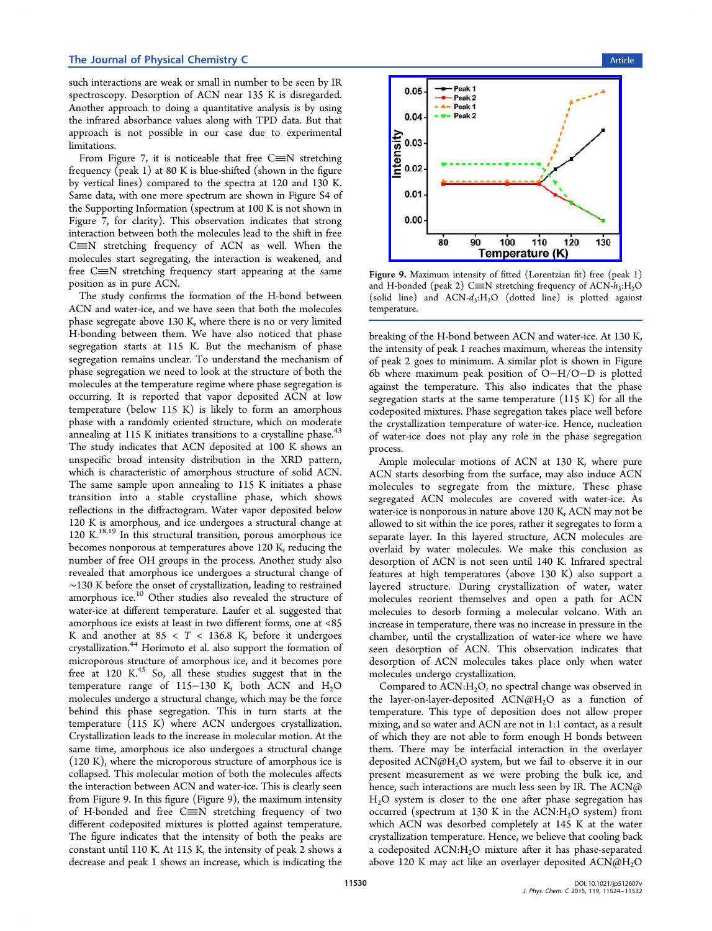such interactions are weak or small in number to be seen by IR spectroscopy. Desorption of ACN near 135 K is disregarded. Another approach to doing a quantitative analysis is by using the infrared absorbance values along with TPD data. But that approach is not possible in our case due to experimental limitations.

From Figure 7, it is noticeable that free  $C \equiv N$  stretching frequency (peak 1) at 80 K is blue-shifted (shown in the figure by vertical lines[\)](#page-5-0) compared to the spectra at 120 and 130 K. Same data, with one more spectrum are shown in Figure S4 of the Supporting Information (spectrum at 100 K is not shown in Figure 7, for clarity). This observation indicates that strong inte[raction between both th](#page-7-0)e molecules lead to the shift in free  $C \equiv N$  [s](#page-5-0)tretching frequency of ACN as well. When the molecules start segregating, the interaction is weakened, and free  $C \equiv N$  stretching frequency start appearing at the same position as in pure ACN.

The study confirms the formation of the H-bond between ACN and water-ice, and we have seen that both the molecules phase segregate above 130 K, where there is no or very limited H-bonding between them. We have also noticed that phase segregation starts at 115 K. But the mechanism of phase segregation remains unclear. To understand the mechanism of phase segregation we need to look at the structure of both the molecules at the temperature regime where phase segregation is occurring. It is reported that vapor deposited ACN at low temperature (below 115 K) is likely to form an amorphous phase with a randomly oriented structure, which on moderate annealing at  $115$  K initiates transitions to a crystalline phase.<sup>43</sup> The study indicates that ACN deposited at 100 K shows an unspecific broad intensity distribution in the XRD patte[rn,](#page-8-0) which is characteristic of amorphous structure of solid ACN. The same sample upon annealing to 115 K initiates a phase transition into a stable crystalline phase, which shows reflections in the diffractogram. Water vapor deposited below 120 K is amorphous, and ice undergoes a structural change at 120  $K^{18,19}$  In this structural transition, porous amorphous ice becomes nonporous at temperatures above 120 K, reducing the numb[er](#page-8-0) [of](#page-8-0) free OH groups in the process. Another study also revealed that amorphous ice undergoes a structural change of ∼130 K before the onset of crystallization, leading to restrained amorphous ice.<sup>10</sup> Other studies also revealed the structure of water-ice at different temperature. Laufer et al. suggested that amorphous ice [ex](#page-7-0)ists at least in two different forms, one at <85 K and another at  $85 < T < 136.8$  K, before it undergoes crystallization.<sup>44</sup> Horimoto et al. also support the formation of microporous structure of amorphous ice, and it becomes pore free at 120 [K.](#page-8-0)<sup>45</sup> So, all these studies suggest that in the temperature range of 115−130 K, both ACN and  $H_2O$ molecules unde[rgo](#page-8-0) a structural change, which may be the force behind this phase segregation. This in turn starts at the temperature (115 K) where ACN undergoes crystallization. Crystallization leads to the increase in molecular motion. At the same time, amorphous ice also undergoes a structural change (120 K), where the microporous structure of amorphous ice is collapsed. This molecular motion of both the molecules affects the interaction between ACN and water-ice. This is clearly seen from Figure 9. In this figure (Figure 9), the maximum intensity of H-bonded and free  $C \equiv N$  stretching frequency of two different codeposited mixtures is plotted against temperature. The figure indicates that the intensity of both the peaks are constant until 110 K. At 115 K, the intensity of peak 2 shows a decrease and peak 1 shows an increase, which is indicating the



Figure 9. Maximum intensity of fitted (Lorentzian fit) free (peak 1) and H-bonded (peak 2) C $\equiv$ [N stretching frequency of ACN-](http://pubs.acs.org/action/showImage?doi=10.1021/jp512607v&iName=master.img-009.jpg&w=198&h=158) $h_3$ :H<sub>2</sub>O (solid line) and  $ACN-d_3:H_2O$  (dotted line) is plotted against temperature.

breaking of the H-bond between ACN and water-ice. At 130 K, the intensity of peak 1 reaches maximum, whereas the intensity of peak 2 goes to minimum. A similar plot is shown in Figure 6b where maximum peak position of O−H/O−D is plotted against the temperature. This also indicates that the phase [se](#page-4-0)gregation starts at the same temperature (115 K) for all the codeposited mixtures. Phase segregation takes place well before the crystallization temperature of water-ice. Hence, nucleation of water-ice does not play any role in the phase segregation process.

Ample molecular motions of ACN at 130 K, where pure ACN starts desorbing from the surface, may also induce ACN molecules to segregate from the mixture. These phase segregated ACN molecules are covered with water-ice. As water-ice is nonporous in nature above 120 K, ACN may not be allowed to sit within the ice pores, rather it segregates to form a separate layer. In this layered structure, ACN molecules are overlaid by water molecules. We make this conclusion as desorption of ACN is not seen until 140 K. Infrared spectral features at high temperatures (above 130 K) also support a layered structure. During crystallization of water, water molecules reorient themselves and open a path for ACN molecules to desorb forming a molecular volcano. With an increase in temperature, there was no increase in pressure in the chamber, until the crystallization of water-ice where we have seen desorption of ACN. This observation indicates that desorption of ACN molecules takes place only when water molecules undergo crystallization.

Compared to  $ACN:H_2O$ , no spectral change was observed in the layer-on-layer-deposited  $ACN@H_2O$  as a function of temperature. This type of deposition does not allow proper mixing, and so water and ACN are not in 1:1 contact, as a result of which they are not able to form enough H bonds between them. There may be interfacial interaction in the overlayer deposited  $\text{ACN@H}_2\text{O}$  system, but we fail to observe it in our present measurement as we were probing the bulk ice, and hence, such interactions are much less seen by IR. The  $ACN@$ H2O system is closer to the one after phase segregation has occurred (spectrum at 130 K in the ACN:H<sub>2</sub>O system) from which ACN was desorbed completely at 145 K at the water crystallization temperature. Hence, we believe that cooling back a codeposited ACN:H<sub>2</sub>O mixture after it has phase-separated above 120 K may act like an overlayer deposited  $ACN@H<sub>2</sub>O$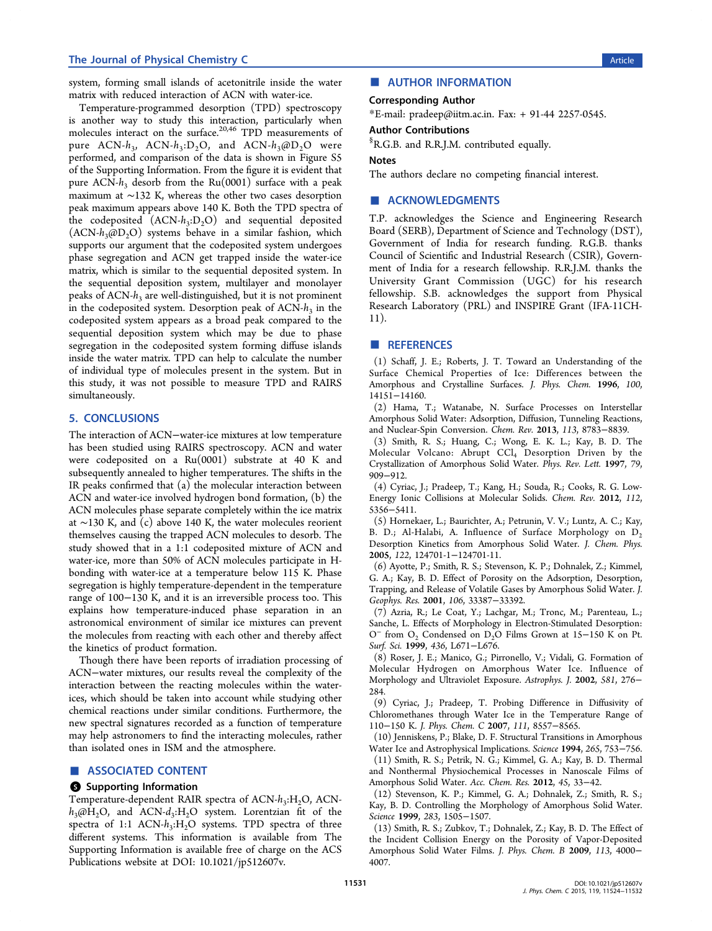<span id="page-7-0"></span>system, forming small islands of acetonitrile inside the water matrix with reduced interaction of ACN with water-ice.

Temperature-programmed desorption (TPD) spectroscopy is another way to study this interaction, particularly when molecules interact on the surface.20,46 TPD measurements of pure ACN- $h_3$ , ACN- $h_3$ :D<sub>2</sub>O, and ACN- $h_3$ @D<sub>2</sub>O were performed, and comparison of th[e dat](#page-8-0)a is shown in Figure S5 of the Supporting Information. From the figure it is evident that pure ACN- $h_3$  desorb from the Ru(0001) surface with a peak maximum at ∼132 K, whereas the other two cases desorption peak maximum appears above 140 K. Both the TPD spectra of the codeposited  $(ACN-h_3:D_2O)$  and sequential deposited  $(ACN-h_3@D_2O)$  systems behave in a similar fashion, which supports our argument that the codeposited system undergoes phase segregation and ACN get trapped inside the water-ice matrix, which is similar to the sequential deposited system. In the sequential deposition system, multilayer and monolayer peaks of ACN- $h_3$  are well-distinguished, but it is not prominent in the codeposited system. Desorption peak of  $ACN-h<sub>3</sub>$  in the codeposited system appears as a broad peak compared to the sequential deposition system which may be due to phase segregation in the codeposited system forming diffuse islands inside the water matrix. TPD can help to calculate the number of individual type of molecules present in the system. But in this study, it was not possible to measure TPD and RAIRS simultaneously.

## 5. CONCLUSIONS

The interaction of ACN−water-ice mixtures at low temperature has been studied using RAIRS spectroscopy. ACN and water were codeposited on a Ru(0001) substrate at 40 K and subsequently annealed to higher temperatures. The shifts in the IR peaks confirmed that (a) the molecular interaction between ACN and water-ice involved hydrogen bond formation, (b) the ACN molecules phase separate completely within the ice matrix at ∼130 K, and (c) above 140 K, the water molecules reorient themselves causing the trapped ACN molecules to desorb. The study showed that in a 1:1 codeposited mixture of ACN and water-ice, more than 50% of ACN molecules participate in Hbonding with water-ice at a temperature below 115 K. Phase segregation is highly temperature-dependent in the temperature range of 100−130 K, and it is an irreversible process too. This explains how temperature-induced phase separation in an astronomical environment of similar ice mixtures can prevent the molecules from reacting with each other and thereby affect the kinetics of product formation.

Though there have been reports of irradiation processing of ACN−water mixtures, our results reveal the complexity of the interaction between the reacting molecules within the waterices, which should be taken into account while studying other chemical reactions under similar conditions. Furthermore, the new spectral signatures recorded as a function of temperature may help astronomers to find the interacting molecules, rather than isolated ones in ISM and the atmosphere.

## ■ ASSOCIATED CONTENT

#### **S** Supporting Information

Temperature-dependent RAIR spectra of ACN-h<sub>3</sub>:H<sub>2</sub>O, ACN $h_3$ @H<sub>2</sub>O, and ACN- $d_3$ :H<sub>2</sub>O system. Lorentzian fit of the spectra of 1:1 ACN- $h_3$ :H<sub>2</sub>O systems. TPD spectra of three different systems. This information is available from The Supporting Information is available free of charge on the ACS Publications website at DOI: 10.1021/jp512607v.

# ■ AUTHOR INFORMATION

# Corresponding Author

\*E-mail: pradeep@iitm.ac.in. Fax: + 91-44 2257-0545.

#### Author Contributions

§ R.G.B. [and R.R.J.M. contrib](mailto:pradeep@iitm.ac.in)uted equally.

## Notes

The authors declare no competing financial interest.

## ■ ACKNOWLEDGMENTS

T.P. acknowledges the Science and Engineering Research Board (SERB), Department of Science and Technology (DST), Government of India for research funding. R.G.B. thanks Council of Scientific and Industrial Research (CSIR), Government of India for a research fellowship. R.R.J.M. thanks the University Grant Commission (UGC) for his research fellowship. S.B. acknowledges the support from Physical Research Laboratory (PRL) and INSPIRE Grant (IFA-11CH-11).

#### ■ REFERENCES

(1) Schaff, J. E.; Roberts, J. T. Toward an Understanding of the Surface Chemical Properties of Ice: Differences between the Amorphous and Crystalline Surfaces. J. Phys. Chem. 1996, 100, 14151−14160.

(2) Hama, T.; Watanabe, N. Surface Processes on Interstellar Amorphous Solid Water: Adsorption, Diffusion, Tunneling Reactions, and Nuclear-Spin Conversion. Chem. Rev. 2013, 113, 8783−8839.

(3) Smith, R. S.; Huang, C.; Wong, E. K. L.; Kay, B. D. The Molecular Volcano: Abrupt CCl<sub>4</sub> Desorption Driven by the Crystallization of Amorphous Solid Water. Phys. Rev. Lett. 1997, 79, 909−912.

(4) Cyriac, J.; Pradeep, T.; Kang, H.; Souda, R.; Cooks, R. G. Low-Energy Ionic Collisions at Molecular Solids. Chem. Rev. 2012, 112, 5356−5411.

(5) Hornekaer, L.; Baurichter, A.; Petrunin, V. V.; Luntz, A. C.; Kay, B. D.; Al-Halabi, A. Influence of Surface Morphology on  $D_2$ Desorption Kinetics from Amorphous Solid Water. J. Chem. Phys. 2005, 122, 124701-1−124701-11.

(6) Ayotte, P.; Smith, R. S.; Stevenson, K. P.; Dohnalek, Z.; Kimmel, G. A.; Kay, B. D. Effect of Porosity on the Adsorption, Desorption, Trapping, and Release of Volatile Gases by Amorphous Solid Water. J. Geophys. Res. 2001, 106, 33387−33392.

(7) Azria, R.; Le Coat, Y.; Lachgar, M.; Tronc, M.; Parenteau, L.; Sanche, L. Effects of Morphology in Electron-Stimulated Desorption: O<sup>−</sup> from O2 Condensed on D2O Films Grown at 15−150 K on Pt. Surf. Sci. 1999, 436, L671−L676.

(8) Roser, J. E.; Manico, G.; Pirronello, V.; Vidali, G. Formation of Molecular Hydrogen on Amorphous Water Ice. Influence of Morphology and Ultraviolet Exposure. Astrophys. J. 2002, 581, 276− 284.

(9) Cyriac, J.; Pradeep, T. Probing Difference in Diffusivity of Chloromethanes through Water Ice in the Temperature Range of 110−150 K. J. Phys. Chem. C 2007, 111, 8557−8565.

(10) Jenniskens, P.; Blake, D. F. Structural Transitions in Amorphous Water Ice and Astrophysical Implications. Science 1994, 265, 753−756.

(11) Smith, R. S.; Petrik, N. G.; Kimmel, G. A.; Kay, B. D. Thermal and Nonthermal Physiochemical Processes in Nanoscale Films of Amorphous Solid Water. Acc. Chem. Res. 2012, 45, 33−42.

(12) Stevenson, K. P.; Kimmel, G. A.; Dohnalek, Z.; Smith, R. S.; Kay, B. D. Controlling the Morphology of Amorphous Solid Water. Science 1999, 283, 1505−1507.

(13) Smith, R. S.; Zubkov, T.; Dohnalek, Z.; Kay, B. D. The Effect of the Incident Collision Energy on the Porosity of Vapor-Deposited Amorphous Solid Water Films. J. Phys. Chem. B 2009, 113, 4000− 4007.